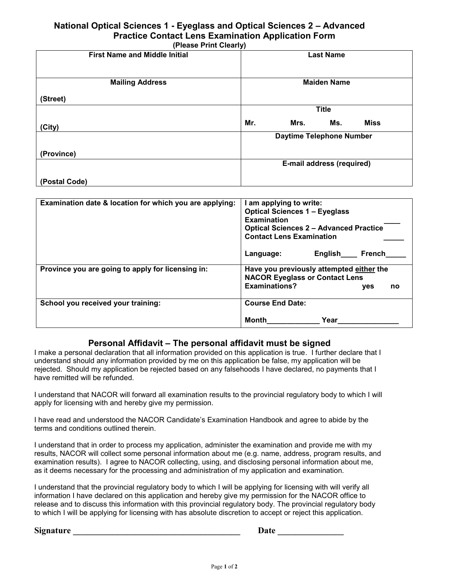## **National Optical Sciences 1 - Eyeglass and Optical Sciences 2 – Advanced Practice Contact Lens Examination Application Form**

| (Please Print Clearly)               |                                 |      |     |      |
|--------------------------------------|---------------------------------|------|-----|------|
| <b>First Name and Middle Initial</b> | <b>Last Name</b>                |      |     |      |
| <b>Mailing Address</b>               | <b>Maiden Name</b>              |      |     |      |
| (Street)                             |                                 |      |     |      |
|                                      | <b>Title</b>                    |      |     |      |
| (City)                               | Mr.                             | Mrs. | Ms. | Miss |
|                                      | <b>Daytime Telephone Number</b> |      |     |      |
| (Province)                           |                                 |      |     |      |
|                                      | E-mail address (required)       |      |     |      |
| (Postal Code)                        |                                 |      |     |      |

| Examination date & location for which you are applying: | I am applying to write:<br><b>Optical Sciences 1 - Eyeglass</b><br><b>Examination</b><br><b>Optical Sciences 2 - Advanced Practice</b><br><b>Contact Lens Examination</b> |  |  |
|---------------------------------------------------------|---------------------------------------------------------------------------------------------------------------------------------------------------------------------------|--|--|
|                                                         | English<br><b>French</b><br>Language:                                                                                                                                     |  |  |
| Province you are going to apply for licensing in:       | Have you previously attempted either the<br><b>NACOR Eyeglass or Contact Lens</b><br><b>Examinations?</b><br><b>ves</b><br>no                                             |  |  |
| School you received your training:                      | <b>Course End Date:</b>                                                                                                                                                   |  |  |
|                                                         | Month<br>Year                                                                                                                                                             |  |  |

## **Personal Affidavit – The personal affidavit must be signed**

I make a personal declaration that all information provided on this application is true. I further declare that I understand should any information provided by me on this application be false, my application will be rejected. Should my application be rejected based on any falsehoods I have declared, no payments that I have remitted will be refunded.

I understand that NACOR will forward all examination results to the provincial regulatory body to which I will apply for licensing with and hereby give my permission.

I have read and understood the NACOR Candidate's Examination Handbook and agree to abide by the terms and conditions outlined therein.

I understand that in order to process my application, administer the examination and provide me with my results, NACOR will collect some personal information about me (e.g. name, address, program results, and examination results). I agree to NACOR collecting, using, and disclosing personal information about me, as it deems necessary for the processing and administration of my application and examination.

I understand that the provincial regulatory body to which I will be applying for licensing with will verify all information I have declared on this application and hereby give my permission for the NACOR office to release and to discuss this information with this provincial regulatory body. The provincial regulatory body to which I will be applying for licensing with has absolute discretion to accept or reject this application.

**Signature 2.1 Date 2.1 Date** 2.1 Date 2.1 Date 2.1 Date 2.1 Date 2.1 Date 2.1 Date 2.1 Date 2.1 Date 2.1 Date 2.1 Date 2.1 Date 2.1 Date 2.1 Date 2.1 Date 2.1 Date 2.1 Date 2.1 Date 2.1 Date 2.1 Date 2.1 Date 2.1 Date 2.1